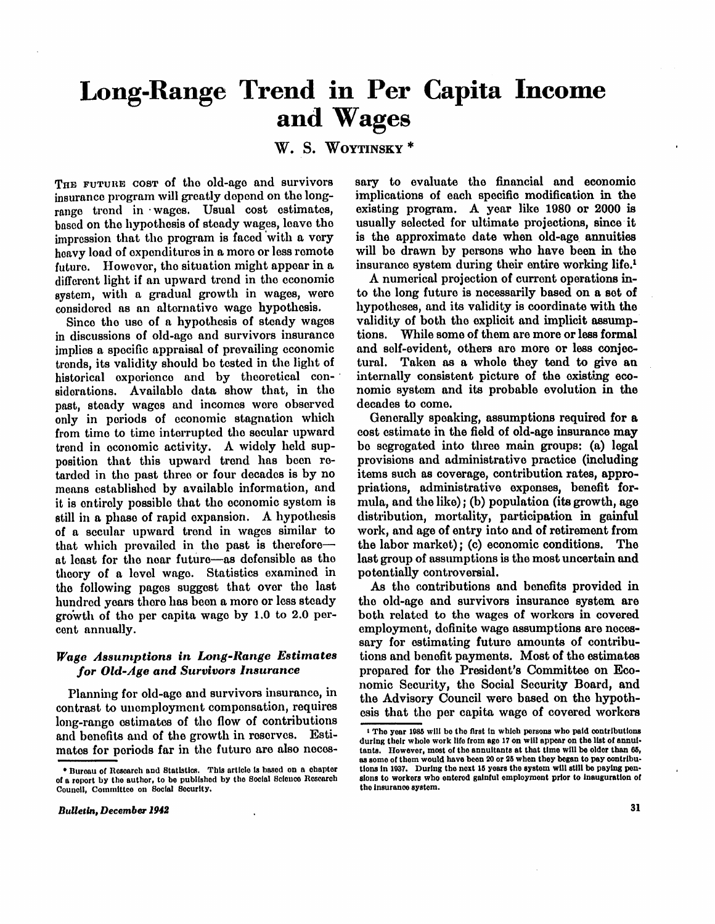# **Long-Range Trend in Per Capita Income and Wages**

**W . S . WOYTINSKY \*** 

THE FUTURE COST of the old-age and survivors insurance program will greatly depend on the longrange trend in wages. Usual cost estimates, based on the hypothesis of steady wages, leave the impression that the program is faced with a very heavy load of expenditures in a more or less remote future. However, the situation might appear in a different light if an upward trend in the economic system, with a gradual growth in wages, were considered as an alternative wage hypothesis.

Since the use of a hypothesis of steady wages in discussions of old-age and survivors insurance implies a specific appraisal of prevailing economic trends, its validity should be tested in the light of historical experience and by theoretical considerations. Available data show that, in the past, steady wages and incomes were observed only in periods of economic stagnation which from time to time interrupted the secular upward trend in economic activity. A widely held supposition that this upward trend has been retarded in the past three or four decades is by no means established by available information, and it is entirely possible that the economic system is still in a phase of rapid expansion. A hypothesis of a secular upward trend in wages similar to that which prevailed in the past is therefore at least for the near future—as defensible as the theory of a level wage. Statistics examined in the following pages suggest that over the last hundred years there has been a more or less steady growth of the per capita wage by  $1.0$  to  $2.0$  percent annually.

## *Wage Assumptions in Long-Range Estimates for Old-Age and Survivors Insurance*

Planning for old-age and survivors insurance, in contrast to unemployment compensation, requires long-range estimates of the flow of contributions and benefits and of the growth in reserves. Estimates for periods far in the future are also necessary to evaluate the financial and economic implications of each specific modification in the existing program. A year like 1980 or 2000 is usually selected for ultimate projections, since it is the approximate date when old-age annuities will be drawn by persons who have been in the insurance system during their entire working life.<sup>1</sup>

A numerical projection of current operations in to the long future is necessarily based on a set of hypotheses, and its validity is coordinate with the validity of both the explicit and implicit assumptions. While some of them are more or less formal and self-evident, others are more or less conjectural. Taken as a whole they tend to give an internally consistent picture of the existing economic system and its probable evolution in the decades to come.

Generally speaking, assumptions required for a cost estimate in the field of old-age insurance may be segregated into three main groups: (a) legal provisions and administrative practice (including items such as coverage, contribution rates, appropriations, administrative expenses, benefit formula, and the like); (b) population (its growth, age distribution, mortality, participation in gainful work, and age of entry into and of retirement from the labor market); (c) economic conditions. The last group of assumptions is the most uncertain and potentially controversial.

As the contributions and benefits provided in the old-age and survivors insurance system are both related to the wages of workers in covered employment, definite wage assumptions are necessary for estimating future amounts of contributions and benefit payments. Most of the estimates prepared for the President's Committee on Economic Security, the Social Security Board, and the Advisory Council were based on the hypothesis that the per capita wage of covered workers

<sup>\*</sup> Bureau of Research and Statistics. This article is based on a chapter of a report by the author, to be published by the Social Science Research Council, Committee on Social Security.

 $\frac{1}{1}$  The year 1985 will be the first in which persons who paid contributions during their whole work life from age 17 on will appear on the list of annuitants. However, most of the annuitants at that time will be older than 65, as some of them would have been 20 or 25 when they began to pay contributions in 1937. During the next 15 years the system will still be paying pensions to workers who entered gainful employment prior to inauguration of the insurance system.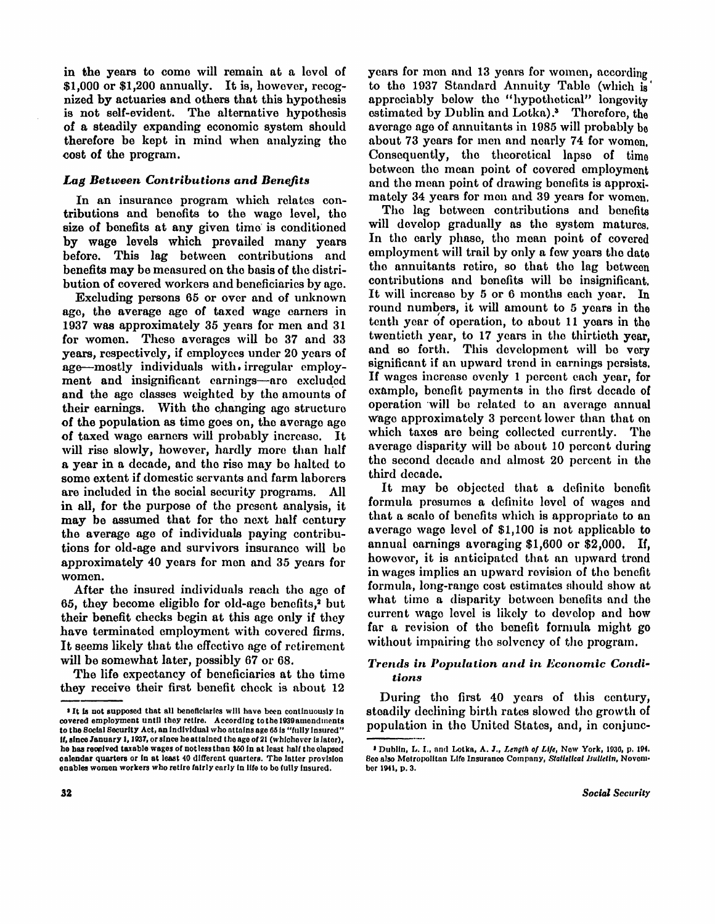in the years to come will remain at a level of  $$1,000$  or  $$1,200$  annually. It is, however, recognized by actuaries and others that this hypothesis is not self-evident. The alternative hypothesis of a steadily expanding economic system should therefore be kept in mind when analyzing the cost of the program.

## *Lag Between Contributions and Benefits*

In an insurance program which relates contributions and benefits to the wage level, the size of benefits at any given time is conditioned by wage levels which prevailed many years before. This lag between contributions and benefits may be measured on the basis of the distribution of covered workers and beneficiaries by age.

Excluding persons 65 or over and of unknown age, the average age of taxed wage earners in 1937 was approximately 35 years for men and 31 for women. These averages will be 37 and 33 years, respectively, if employees under 20 years of age—mostly individuals with irregular employment and insignificant earnings—are excluded and the age classes weighted by the amounts of their earnings. With the changing age structure of the population as time goes on, the average age of taxed wage earners will probably increase. It will rise slowly, however, hardly more than half a year in a decade, and the rise may be halted to some extent if domestic servants and farm laborers are included in the social security programs. All in all, for the purpose of the present analysis, it may be assumed that for the next half century the average age of individuals paying contributions for old-age and survivors insurance will be approximately 40 years for men and 35 years for women.

After the insured individuals reach the age of 65, they become eligible for old-age benefits,<sup>2</sup> but their benefit checks begin at this age only if they have terminated employment with covered firms. It seems likely that the effective age of retirement will be somewhat later, possibly 67 or 68.

The life expectancy of beneficiaries at the time they receive their first benefit check is about 12 years for men and 13 years for women, according to the 1937 Standard Annuity Table (which is appreciably below the "hypothetical" longevity estimated by Dublin and Lotka)." Therefore, the average age of annuitants in 1985 will probably be about 73 years for men and nearly 74 for women. Consequently, the theoretical lapse of time between the mean point of covered employment and the mean point of drawing benefits is approximately 34 years for men and 39 years for women.

The lag between contributions and benefits will develop gradually as the system matures. In the early phase, the mean point of covered employment will trail by only a few years the date the annuitants retire, so that the lag between contributions and benefits will be insignificant. It will increase by  $5$  or  $6$  months each year. In round numbers, it will amount to 5 years in the tenth year of operation, to about 11 years in the twentieth year, to 17 years in the thirtieth year. and so forth. This development will be very significant if an upward trend in earnings persists. If wages increase evenly 1 percent each year, for example, benefit payments in the first decade of operation will be related to an average annual wage approximately 3 percent lower than that on which taxes are being collected currently. The average disparity will be about 10 percent during the second decade and almost 20 percent in the third decade.

It may be objected that a definite benefit formula presumes a definite level of wages and that a scale of benefits which is appropriate to an average wage level of \$1,100 is not applicable to annual earnings averaging \$1,600 or \$2,000. If, however, it is anticipated that an upward trend in wages implies an upward revision of the benefit formula, long-range cost estimates should show at what time a disparity between benefits and the current wage level is likely to develop and how far a revision of the benefit formula might go without impairing the solvency of the program.

## *Trends in Population and in Economic Conditions*

During the first 40 years of this century, steadily declining birth rates slowed the growth of population in the United States, and, in conjunc-

It is not supposed that all beneficiaries will have been continuously in covered employment until they retire. According to the 1939 amendments to the Social Security Act, an individual who attains age 65 is "fully insured" if, since January 1, 1937, or since he attained the age of 21 (whichever is later), he has received taxable wages of notless than \$50 in at least half the elapsed calendar quarters or in at least 40 different quarters. The latter provision enables women workers who retire fairly early in life to be fully insured.

<sup>3</sup> Dublin , L*.* I. , and Lotka , A . J. , *Length of Life,* New York , 1936, p. 194. See also Metropolitan Life Insurance Company, *Statistical Bulletin,* November 1941, p. 3.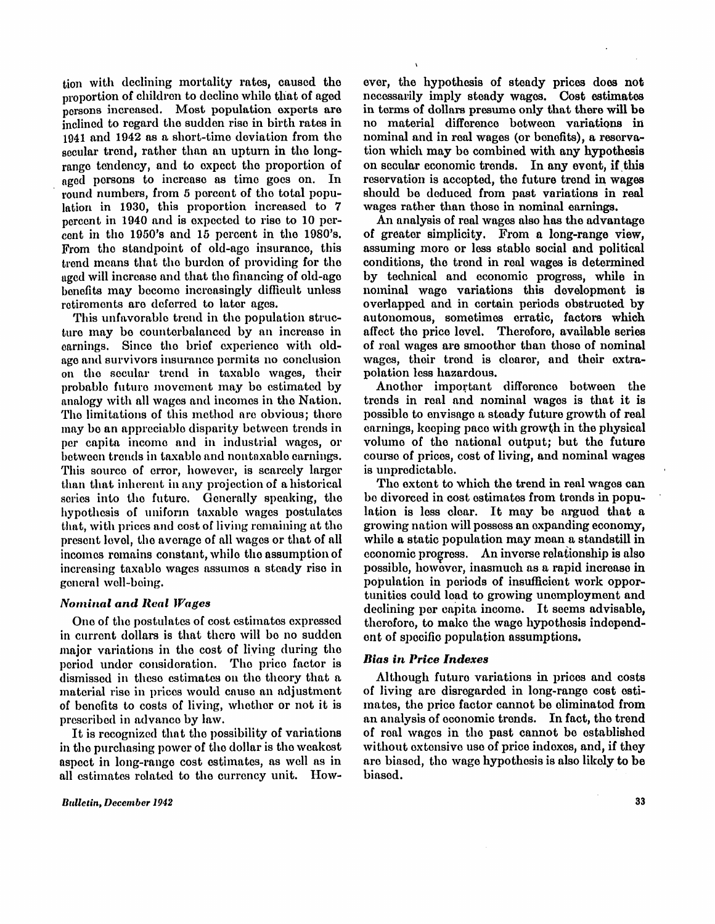**tion with declining mortality rates, caused the proportion of children to decline while that of aged persons increased. Most population experts are inclined to regard the sudden rise in birth rates in 1941 and 1942 as a short-time deviation from the secular trend, rather than an upturn in the longrange tendency, and to expect the proportion of**  aged persons to increase as time goes on. In **round numbers, from 5 percent of the total population in 1930, this proportion increased to 7 percent in 1940 and is expected to rise to 10 percent in the 1950's and 15 percent in the 1980's. From the standpoint of old-age insurance, this trend means that the burden of providing for the aged will increase and that the financing of old-age benefits may become increasingly difficult unless retirements are deferred to later ages.** 

**This unfavorable trend in the population structure may be counterbalanced by an increase in**  earnings. Since the brief experience with oldage and survivors insurance permits no conclusion on the secular trend in taxable wages, their probable future movement may be estimated by analogy with all wages and incomes in the Nation. The limitations of this method are obvious; there may be an appreciable disparity between trends in per capita income and in industrial wages, or between trends in taxable and nontaxable earnings. This source of error, however, is scarcely larger than that inherent in any projection of a historical series into the future. Generally speaking, the hypothesis of uniform taxable wages postulates that, with prices and cost of living remaining at the present level, the average of all wages or that of all incomes remains constant, while the assumption of increasing taxable wages assumes a steady rise in general well-being.

### *Nominal and Real Wages*

**One of the postulates of cost estimates expressed in current dollars is that there will be no sudden major variations in the cost of living during the period under consideration. The price factor is dismissed in these estimates on the theory that a material rise in prices would cause an adjustment of benefits to costs of living, whether or not it is prescribed in advance by law.** 

**I t is recognized that the possibility of variations in the purchasing power of the dollar is the weakest aspect in long-range cost estimates, as well as in all estimates related to the currency unit. How-**

**Bulletin, December 1942** 

ever, the hypothesis of steady prices does not necessarily imply steady wages. Cost estimates in terms of dollars presume only that there will be no material difference between variations in nominal and in real wages (or benefits), a reservation which may be combined with any hypothesis on secular economic trends. In any event, if this reservation is accepted, the future trend in wages should be deduced from past variations in real wages rather than those in nominal earnings.

An analysis of real wages also has the advantage of greater simplicity. From a long-range view, assuming more or less stable social and political conditions, the trend in real wages is determined by technical and economic progress, while in nominal wage variations this development is overlapped and in certain periods obstructed by autonomous, sometimes erratic, factors which affect the price level. Therefore, available series of real wages are smoother than those of nominal wages, their trend is clearer, and their extrapolation less hazardous.

Another important difference between the trends in real and nominal wages is that it is possible to envisage a steady future growth of real earnings, keeping pace with growth in the physical volume of the national output; but the future course of prices, cost of living, and nominal wages is unpredictable.

The extent to which the trend in real wages can be divorced in cost estimates from trends in population is less clear. It may be argued that a growing nation will possess an expanding economy, while a static population may mean a standstill in economic progress. An inverse relationship is also possible, however, inasmuch as a rapid increase in population in periods of insufficient work opportunities could load to growing unemployment and declining per capita income. It seems advisable, therefore, to make the wage hypothesis independent of specific population assumptions.

### *Bias in Price Indexes*

Although future variations in prices and costs of living are disregarded in long-range cost estimates, the price factor cannot be eliminated from an analysis of economic trends. In fact, the trend of real wages in the past cannot be established without extensive use of price indexes, and, if they are biased, the wage hypothesis is also likely to be biased.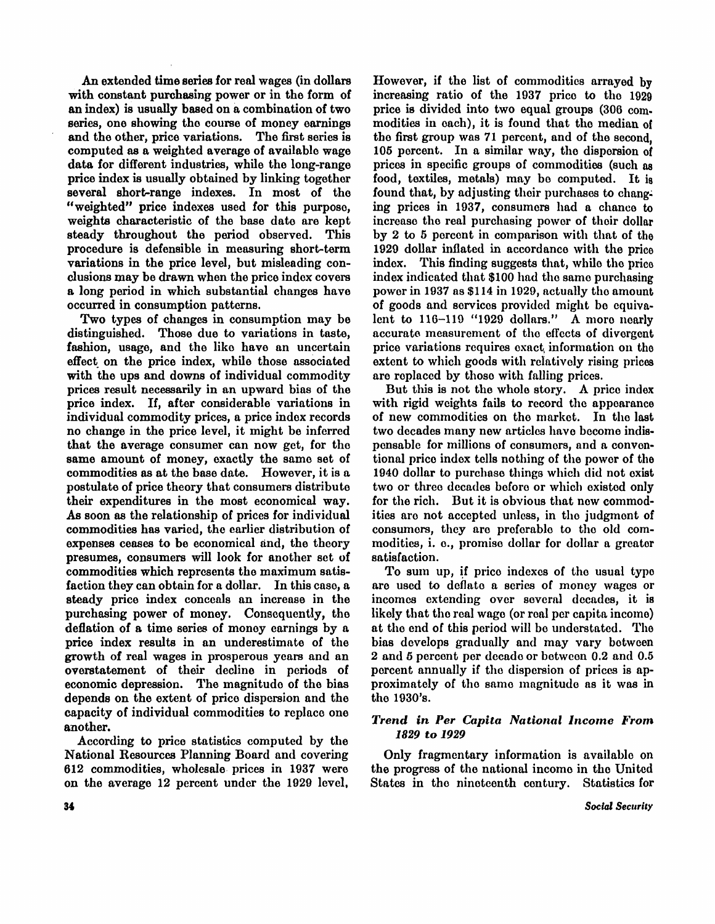An extended time series for real wages (in dollars with constant purchasing power or in the form of an index) is usually based on a combination of two series, one showing the course of money earnings and the other, price variations. The first series is computed as a weighted average of available wage data for different industries, while the long-range price index is usually obtained by linking together several short-range indexes. In most of the "weighted" price indexes used for this purpose, weights characteristic of the base date are kept steady throughout the period observed. This procedure is defensible in measuring short-term variations in the price level, but misleading conclusions may be drawn when the price index covers a long period in which substantial changes have occurred in consumption patterns.

Two types of changes in consumption may be distinguished. Those due to variations in taste. fashion, usage, and the like have an uncertain effect on the price index, while those associated with the ups and downs of individual commodity prices result necessarily in an upward bias of the price index. If, after considerable variations in individual commodity prices, a price index records no change in the price level, it might be inferred that the average consumer can now get, for the same amount of money, exactly the same set of commodities as at the base date. However, it is a postulate of price theory that consumers distribute their expenditures in the most economical way. As soon as the relationship of prices for individual commodities has varied, the earlier distribution of expenses ceases to be economical and, the theory presumes, consumers will look for another set of commodities which represents the maximum satisfaction they can obtain for a dollar. In this case, a steady price index conceals an increase in the purchasing power of money. Consequently, the deflation of a time series of money earnings by a price index results in an underestimate of the growth of real wages in prosperous years and an overstatement of their decline in periods of economic depression. The magnitude of the bias depends on the extent of price dispersion and the capacity of individual commodities to replace one another.

According to price statistics computed by the National Resources Planning Board and covering 612 commodities, wholesale prices in 1937 were on the average 12 percent under the 1929 level.

However, if the list of commodities arrayed by increasing ratio of the 1937 price to the 1929 price is divided into two equal groups (306 commodities in each), it is found that the median of the first group was 71 percent, and of the second, 105 percent. In a similar way, the dispersion of prices in specific groups of commodities (such as food, textiles, metals) may be computed. It is found that, by adjusting their purchases to changing prices in 1937, consumers had a chance to increase the real purchasing power of their dollar by 2 to 5 percent in comparison with that of the 1929 dollar inflated in accordance with the price index. This finding suggests that, while the price index indicated that \$100 had the same purchasing power in 1937 as \$114 in 1929, actually the amount of goods and services provided might be equivalent to 116-119 "1929 dollars." A more nearly accurate measurement of the effects of divergent price variations requires exact, information on the extent to which goods with relatively rising prices are replaced by those with falling prices.

But this is not the whole story. A price index with rigid weights fails to record the appearance of new commodities on the market. In the last two decades many new articles have become indispensable for millions of consumers, and a conventional price index tells nothing of the power of the 1940 dollar to purchase things which did not exist two or three decades before or which existed only for the rich. But it is obvious that new commodities are not accepted unless, in the judgment of consumers, they are preferable to the old commodities, i. e., promise dollar for dollar a greater satisfaction.

To sum up, if price indexes of the usual type are used to deflate a series of money wages or incomes extending over several decades, it is likely that the real wage (or real per capita income) at the end of this period will be understated. The bias develops gradually and may vary between 2 and 5 percent per decade or between 0.2 and 0.5 percent annually if the dispersion of prices is approximately of the same magnitude as it was in the 1930's.

## *Trend in Per Capita National Income From 1829 to 1929*

Only fragmentary information is available on the progress of the national income in the United States in the nineteenth century. Statistics for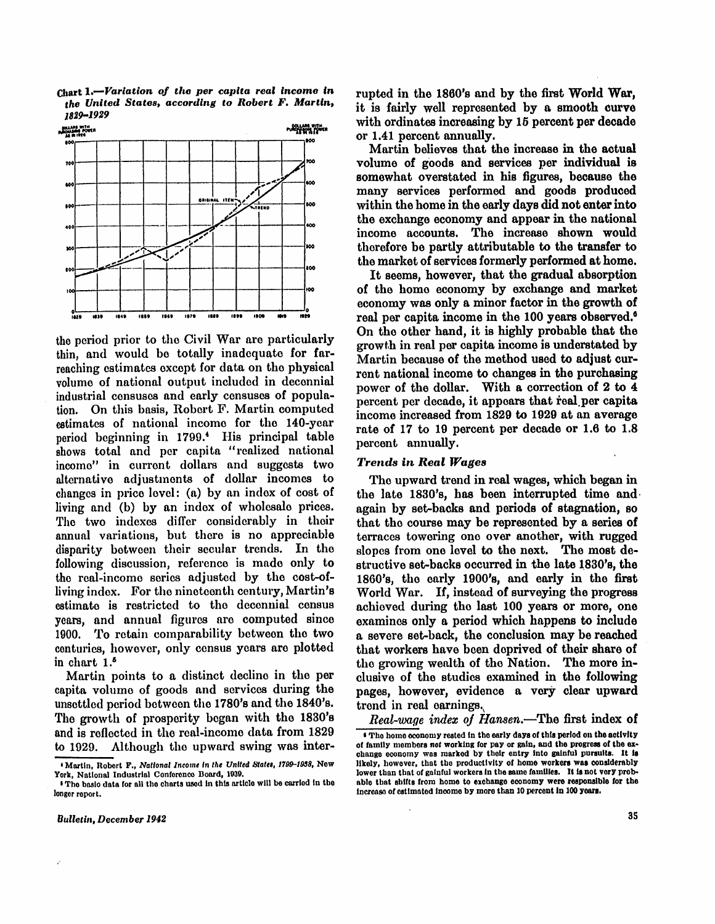**Chart 1.—***Variation of the per capita real income in the United States, according to Robert F. Martin, 1829-1929* 



the period prior to the Civil War are particularly thin, and would be totally inadequate for farreaching estimates except for data on the physical volume of national output included in decennial industrial censuses and early censuses of population. On this basis, Robert F. Martin computed estimates of national income for the 140-year period beginning in 1799.<sup>4</sup> His principal table shows total and per capita "realized national income" in current dollars and suggests two alternative adjustments of dollar incomes to changes in price level: (a) by an index of cost of living and (b) by an index of wholesale prices. The two indexes differ considerably in their annual variations, but there is no appreciable disparity between their secular trends. In the following discussion, reference is made only to the real-income series adjusted by the cost-ofliving index. For the nineteenth century, Martin's estimate is restricted to the decennial census years, and annual figures are computed since 1900. To retain comparability between the two centuries, however, only census years are plotted in chart 1.<sup>5</sup>

Martin points to a distinct decline in the per capita volume of goods and services during the unsettled period between the 1780's and the 1840's. The growth of prosperity began with the 1830's and is reflected in the real-income data from 1829 to 1929. Although the upward swing was interrupted in the 1860's and by the first World War, it is fairly well represented by a smooth curve with ordinates increasing by 15 percent per decade or 1.41 percent annually.

Martin believes that the increase in the actual volume of goods and services per individual is somewhat overstated in his figures, because the many services performed and goods produced within the home in the early days did not enter into the exchange economy and appear in the national income accounts. The increase shown would therefore be partly attributable to the transfer to the market of services formerly performed at home.

It seems, however, that the gradual absorption of the home economy by exchange and market economy was only a minor factor in the growth of real per capita income in the 100 years observed.<sup>6</sup> On the other hand, it is highly probable that the growth in real per capita income is understated by Martin because of the method used to adjust current national income to changes in the purchasing power of the dollar. With a correction of 2 to  $\overline{4}$ percent per decade, it appears that real per capita income increased from 1829 to 1929 at an average rate of 17 to 19 percent per decade or 1.6 to 1.8 percent annually.

#### *Trends in Real Wages*

The upward trend in real wages, which began in the late 1830's, has been interrupted time and again by set-backs and periods of stagnation, so that the course may be represented by a series of terraces towering one over another, with rugged slopes from one level to the next. The most destructive set-backs occurred in the late 1830's, the 1860's, the early 1900's, and early in the first World War. If, instead of surveying the progress achieved during the last 100 years or more, one examines only a period which happens to include a severe set-back, the conclusion may be reached that workers have been deprived of their share of the growing wealth of the Nation. The more inclusive of the studies examined in the following pages, however, evidence a very clear upward trend in real earnings.

 $\bullet$  The home economy rested in the early days of this period on the activity of family members not working for pay or gain, and the progress of the exchange economy was marked by their entry into gainful pursuits. It is likely, however, that the productivity of home workers was considerably lower than that of gainful workers in the same families. It is not very probable that shifts from home to exchange economy were responsible for the increase of estimated income by more than 10 percent in 100 years. *Real-wage index of Hansen,*—The first index of

<sup>4</sup> Martin , Robert F., *National Income In the United States, 1799-1938,* New York, National Industrial Conference Board, 1939.

 $\mathbf{s}$  The basic data for all the charts used in this article will be carried in the longer report.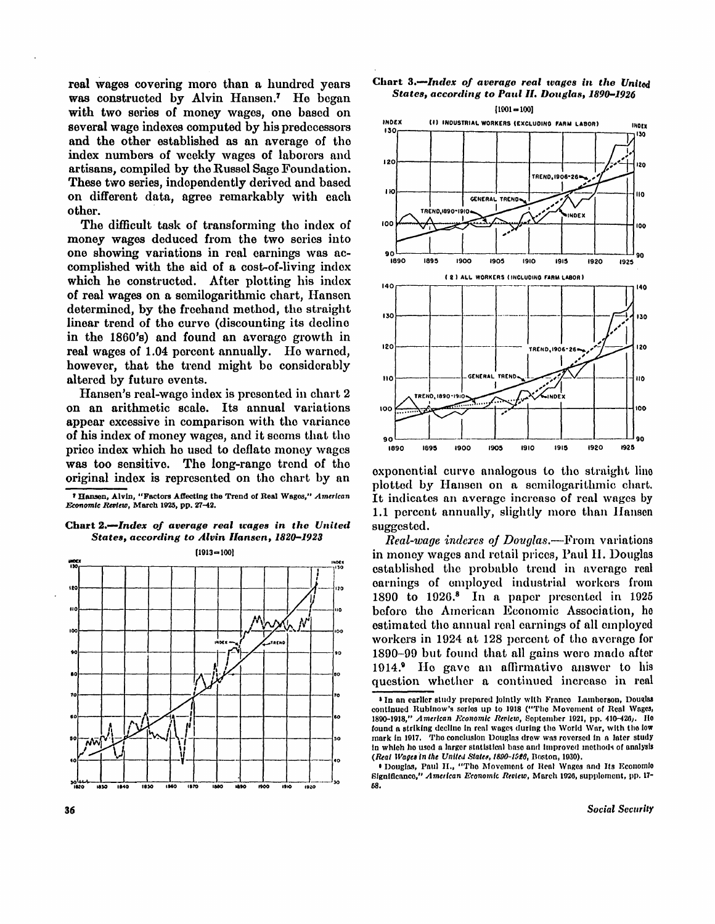**real wages covering more than a hundred years was constructed by Alvin Hansen. <sup>7</sup> H e began with two series of money wages, one based on several wage indexes computed by his predecessors and the other established as an average of the index numbers of weekly wages of laborers and artisans, compiled by the Russel Sage Foundation. These two series, independently derived and based on different data, agree remarkably with each other.** 

The difficult task of transforming the index of **money wages deduced from the two series into one showing variations in real earnings was accomplished with the aid of a cost-of-living index which he constructed. After plotting his index of real wages on a semilogarithmic chart, Hansen determined, by the freehand method, the straight linear trend of the curve (discounting its decline in the 1860's) and found an average growth in**  real wages of 1.04 percent annually. He warned, **however, that the trend might be considerably altered by future events.** 

**Hansen's real-wage index is presented in chart 2**  on an arithmetic scale. Its annual variations **appear excessive in comparison with the variance of his index of money wages, and i t seems that the price index which he used to deflate money wages was too sensitive. The long-range trend of the original index is represented on the chart by an** 

<sup>7</sup> Hansen, Alvin, "Factors Affecting the Trend of Real Wages," American *Economic Review, March 1925, pp. 27-42.* 

## **Char t** *2.—Index of average real wages in the United States, according to Alvin Hansen, 1820-1923*







**exponential curve analogous to the straight line plotted by Hansen on a semilogarithmic chart. I t indicates an average increase of real wages by 1.1 percent annually, slightly more than Hansen suggested.** 

*Real-wage indexes of Douglas.***—From variations in money wages and retail prices, Paul H. Douglas established the probable trend in average real earnings of employed industrial workers from 1890 to 1926. <sup>8</sup> I n a paper presented in 1925 before the American Economic Association, he estimated the annual real earnings of all employed workers in 1924 at 128 percent of the average for 1890-99 but found that all gains were made after**  1914. <sup>I</sup> He gave an affirmative answer to his **question whether a continued increase in real** 

 $\bm{s}$  In an earlier study prepared jointly with Franco –Lamberson, Douglas continued Rubinow's series up to 1918 ("The Movement of Real Wages, 1890-1918," *American Economic Review,* September 1921, pp. 410-426). He found a striking decline in real wages during the World War, with the low mark in 1917. The conclusion Douglas drew was reversed in a later study in which he used a larger statistical base and improved methods of analysis *(Real Wages in the United States, 1890-1926,* Boston, 1930).

<sup>•</sup> Douglas, Paul H., "The Movement of Real Wages and Its Economic Significance," American Economic Review, March 1926, supplement, pp. 17-58.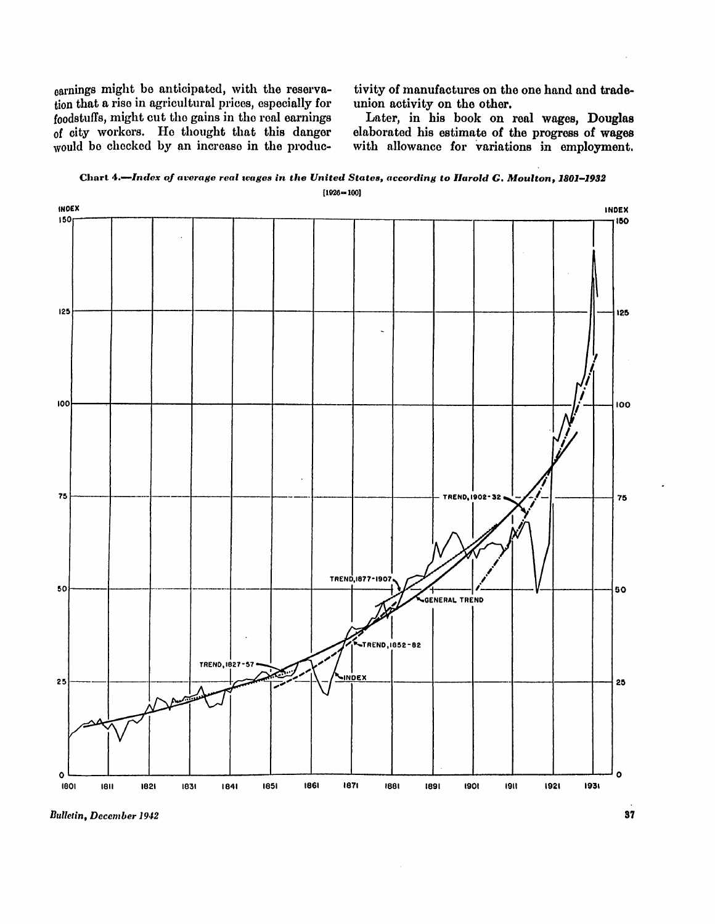earnings might be anticipated, with the reservation that a rise in agricultural prices, especially for foodstuffs, might cut the gains in the real earnings of city workers. He thought that this danger would be checked by an increase in the produc-

tivity of manufactures on the one hand and tradeunion activity on the other.

Later, in his book on real wages, Douglas elaborated his estimate of the progress of wages with allowance for variations in employment.

**Char t 4.—***Index of average real wages in the United States, according to Harold G. Moulton, 1801—1932*  $[1926 - 100]$ 



**Bulletin, December 1942**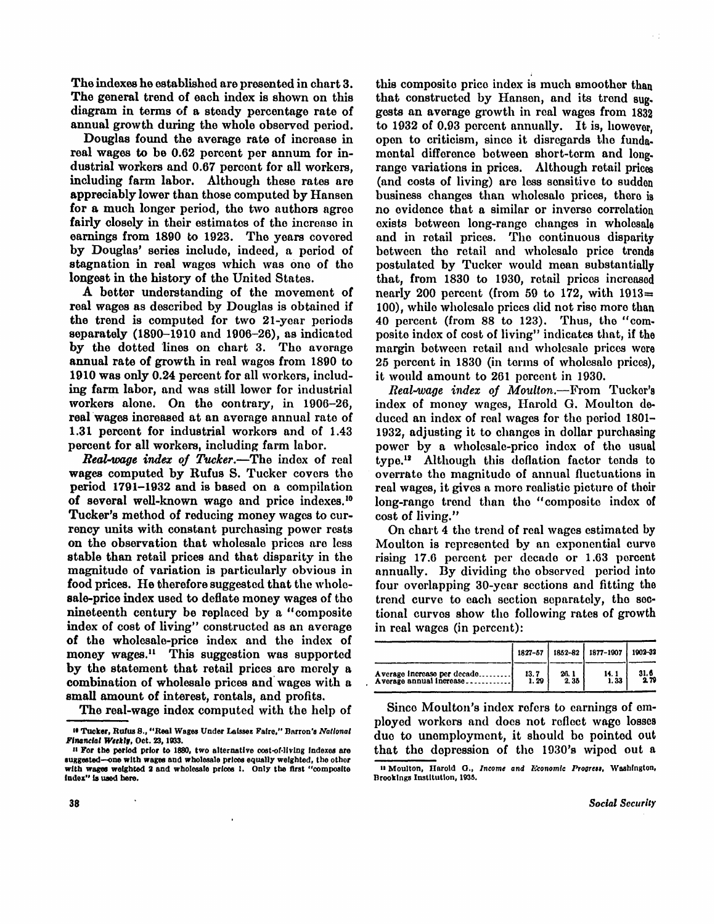The indexes he established are presented in chart 3. The general trend of each index is shown on this diagram in terms of a steady percentage rate of annual growth during the whole observed period.

Douglas found the average rate of increase in real wages to be 0.62 percent per annum for industrial workers and 0.67 percent for all workers, including farm labor. Although these rates are appreciably lower than those computed by Hansen for a much longer period, the two authors agree fairly closely in their estimates of the increase in earnings from 1890 to 1923. The years covered by Douglas' series include, indeed, a period of stagnation in real wages which was one of the longest in the history of the United States.

A better understanding of the movement of real wages as described by Douglas is obtained if the trend is computed for two 21-year periods separately (1890-1910 and 1906-26), as indicated by the dotted lines on chart 3. The average annual rate of growth in real wages from 1890 to 1910 was only 0.24 percent for all workers, includ ing farm labor, and was still lower for industrial workers alone. On the contrary, in  $1906-26$ , real wages increased at an average annual rate of 1.31 percent for industrial workers and of 1.43 percent for all workers, including farm labor.

*Real-wage index of Tucker.*—The index of real wages computed by Rufus S. Tucker covers the period 1791-1932 and is based on a compilation of several well-known wage and price indexes.<sup>10</sup> Tucker's method of reducing money wages to currency units with constant purchasing power rests on the observation that wholesale prices are less stable than retail prices and that disparity in the magnitude of variation is particularly obvious in food prices. He therefore suggested that the wholesale-price index used to deflate money wages of the nineteenth century be replaced by a "composite" index of cost of living" constructed as an average of the wholesale-price index and the index of money wages.<sup>11</sup> This suggestion was supported by the statement that retail prices are merely a combination of wholesale prices and wages with a small amount of interest, rentals, and profits.

The real-wage index computed with the help of

this composite price index is much smoother than that constructed by Hansen, and its trend sug. gests an average growth in real wages from 1832 to 1932 of 0.93 percent annually. It is, however, open to criticism, since it disregards the fundamental difference between short-term and longrange variations in prices. Although retail prices (and costs of living) are less sensitive to sudden business changes than wholesale prices, there is no evidence that a similar or inverse correlation exists between long-range changes in wholesale and in retail prices. The continuous disparity between the retail and wholesale price trends postulated by Tucker would mean substantially that, from 1830 to 1930, retail prices increased nearly 200 percent (from 59 to 172, with  $1913 \pm$ 100), while wholesale prices did not rise more than 40 percent (from  $88$  to 123). Thus, the "composite index of cost of living" indicates that, if the margin between retail and wholesale prices were 25 percent in 1830 (in terms of wholesale prices). it would amount to 261 percent in 1930.

k. C

*Real-wage index of Moulton.*—From Tucker's index of money wages, Harold G. Moulton deduced an index of real wages for the period 1801- 1932, adjusting it to changes in dollar purchasing power by a wholesale-price index of the usual type.<sup>12</sup> Although this deflation factor tends to overrate the magnitude of annual fluctuations in real wages, it gives a more realistic picture of their long-range trend than the "composite index of cost of living."

On chart 4 the trend of real wages estimated by Moulton is represented by an exponential curve rising 17.6 percent per decade or 1.63 percent annually. By dividing the observed period into four overlapping 30-year sections and fitting the trend curve to each section separately, the sectional curves show the following rates of growth in real wages (in percent):

|                             | 1827-57 |      | 1852-82   1877-1007 | 1902-32             |
|-----------------------------|---------|------|---------------------|---------------------|
| Average increase per decade | 13.7    | 26.1 | 14. 1               | $\frac{31.6}{2.79}$ |
| Average annual increase     | 1.29    | 2.35 | 1.33                |                     |

<sup>12</sup> Moulton, Harold G., Income and Economic Progress, Washington, Since Moulton's index refers to earnings of employed workers and does not reflect wage losses due to unemployment, it should be pointed out that the depression of the 1930's wiped out a

Brookings Institution, 1935.

<sup>&</sup>lt;sup>10</sup> Tucker, Rufus S., "Real Wages Under Laissez Faire," Barron's National *Financial Weekly,* Oct. 23, 1933.

 $11$  For the period prior to 1880, two alternative cost-of-living indexes are suggested—one with wages and wholesale prices equally weighted, the other with wages weighted 2 and wholesale prices 1. Only the first "composite index " is used here.